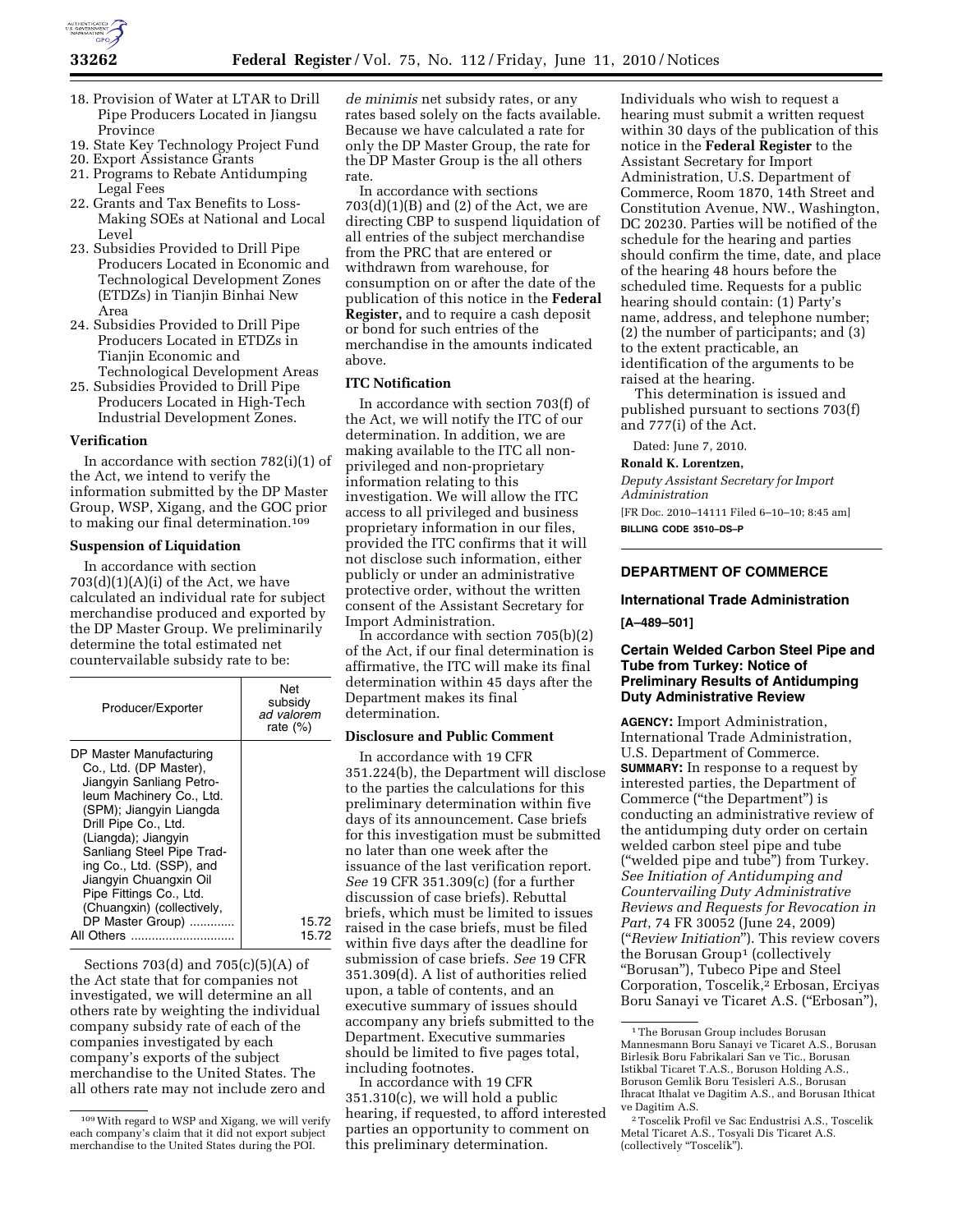

- 18. Provision of Water at LTAR to Drill Pipe Producers Located in Jiangsu Province
- 19. State Key Technology Project Fund
- 20. Export Assistance Grants
- 21. Programs to Rebate Antidumping Legal Fees
- 22. Grants and Tax Benefits to Loss-Making SOEs at National and Local Level
- 23. Subsidies Provided to Drill Pipe Producers Located in Economic and Technological Development Zones (ETDZs) in Tianjin Binhai New Area
- 24. Subsidies Provided to Drill Pipe Producers Located in ETDZs in Tianjin Economic and Technological Development Areas
- 25. Subsidies Provided to Drill Pipe Producers Located in High-Tech Industrial Development Zones.

#### **Verification**

In accordance with section 782(i)(1) of the Act, we intend to verify the information submitted by the DP Master Group, WSP, Xigang, and the GOC prior to making our final determination.109

#### **Suspension of Liquidation**

In accordance with section  $703(d)(1)(A)(i)$  of the Act, we have calculated an individual rate for subject merchandise produced and exported by the DP Master Group. We preliminarily determine the total estimated net countervailable subsidy rate to be:

| Producer/Exporter                                                                                                                                                                                                                                                                                                                                                 | Net<br>subsidy<br>ad valorem<br>rate $(\%)$ |
|-------------------------------------------------------------------------------------------------------------------------------------------------------------------------------------------------------------------------------------------------------------------------------------------------------------------------------------------------------------------|---------------------------------------------|
| DP Master Manufacturing<br>Co., Ltd. (DP Master),<br>Jiangyin Sanliang Petro-<br>leum Machinery Co., Ltd.<br>(SPM); Jiangyin Liangda<br>Drill Pipe Co., Ltd.<br>(Liangda); Jiangyin<br>Sanliang Steel Pipe Trad-<br>ing Co., Ltd. (SSP), and<br>Jiangyin Chuangxin Oil<br>Pipe Fittings Co., Ltd.<br>(Chuangxin) (collectively,<br>DP Master Group)<br>All Others | 15.72<br>15.72                              |

Sections 703(d) and 705(c)(5)(A) of the Act state that for companies not investigated, we will determine an all others rate by weighting the individual company subsidy rate of each of the companies investigated by each company's exports of the subject merchandise to the United States. The all others rate may not include zero and *de minimis* net subsidy rates, or any rates based solely on the facts available. Because we have calculated a rate for only the DP Master Group, the rate for the DP Master Group is the all others rate.

In accordance with sections  $703(d)(1)(B)$  and  $(2)$  of the Act, we are directing CBP to suspend liquidation of all entries of the subject merchandise from the PRC that are entered or withdrawn from warehouse, for consumption on or after the date of the publication of this notice in the **Federal Register,** and to require a cash deposit or bond for such entries of the merchandise in the amounts indicated above.

## **ITC Notification**

In accordance with section 703(f) of the Act, we will notify the ITC of our determination. In addition, we are making available to the ITC all nonprivileged and non-proprietary information relating to this investigation. We will allow the ITC access to all privileged and business proprietary information in our files, provided the ITC confirms that it will not disclose such information, either publicly or under an administrative protective order, without the written consent of the Assistant Secretary for Import Administration.

In accordance with section 705(b)(2) of the Act, if our final determination is affirmative, the ITC will make its final determination within 45 days after the Department makes its final determination.

### **Disclosure and Public Comment**

In accordance with 19 CFR 351.224(b), the Department will disclose to the parties the calculations for this preliminary determination within five days of its announcement. Case briefs for this investigation must be submitted no later than one week after the issuance of the last verification report. *See* 19 CFR 351.309(c) (for a further discussion of case briefs). Rebuttal briefs, which must be limited to issues raised in the case briefs, must be filed within five days after the deadline for submission of case briefs. *See* 19 CFR 351.309(d). A list of authorities relied upon, a table of contents, and an executive summary of issues should accompany any briefs submitted to the Department. Executive summaries should be limited to five pages total, including footnotes.

In accordance with 19 CFR 351.310(c), we will hold a public hearing, if requested, to afford interested parties an opportunity to comment on this preliminary determination.

Individuals who wish to request a hearing must submit a written request within 30 days of the publication of this notice in the **Federal Register** to the Assistant Secretary for Import Administration, U.S. Department of Commerce, Room 1870, 14th Street and Constitution Avenue, NW., Washington, DC 20230. Parties will be notified of the schedule for the hearing and parties should confirm the time, date, and place of the hearing 48 hours before the scheduled time. Requests for a public hearing should contain: (1) Party's name, address, and telephone number; (2) the number of participants; and (3) to the extent practicable, an identification of the arguments to be raised at the hearing.

This determination is issued and published pursuant to sections 703(f) and 777(i) of the Act.

Dated: June 7, 2010.

**Ronald K. Lorentzen,** 

*Deputy Assistant Secretary for Import Administration* 

[FR Doc. 2010–14111 Filed 6–10–10; 8:45 am] **BILLING CODE 3510–DS–P** 

# **DEPARTMENT OF COMMERCE**

#### **International Trade Administration**

**[A–489–501]** 

## **Certain Welded Carbon Steel Pipe and Tube from Turkey: Notice of Preliminary Results of Antidumping Duty Administrative Review**

**AGENCY:** Import Administration, International Trade Administration, U.S. Department of Commerce. **SUMMARY:** In response to a request by interested parties, the Department of Commerce (''the Department'') is conducting an administrative review of the antidumping duty order on certain welded carbon steel pipe and tube (''welded pipe and tube'') from Turkey. *See Initiation of Antidumping and Countervailing Duty Administrative Reviews and Requests for Revocation in Part*, 74 FR 30052 (June 24, 2009) (''*Review Initiation*''). This review covers the Borusan Group<sup>1</sup> (collectively ''Borusan''), Tubeco Pipe and Steel Corporation, Toscelik,2 Erbosan, Erciyas Boru Sanayi ve Ticaret A.S. ("Erbosan"),

<sup>109</sup>With regard to WSP and Xigang, we will verify each company's claim that it did not export subject merchandise to the United States during the POI.

<sup>1</sup>The Borusan Group includes Borusan Mannesmann Boru Sanayi ve Ticaret A.S., Borusan Birlesik Boru Fabrikalari San ve Tic., Borusan Istikbal Ticaret T.A.S., Boruson Holding A.S., Boruson Gemlik Boru Tesisleri A.S., Borusan Ihracat Ithalat ve Dagitim A.S., and Borusan Ithicat ve Dagitim A.S.

<sup>2</sup>Toscelik Profil ve Sac Endustrisi A.S., Toscelik Metal Ticaret A.S., Tosyali Dis Ticaret A.S. (collectively "Toscelik").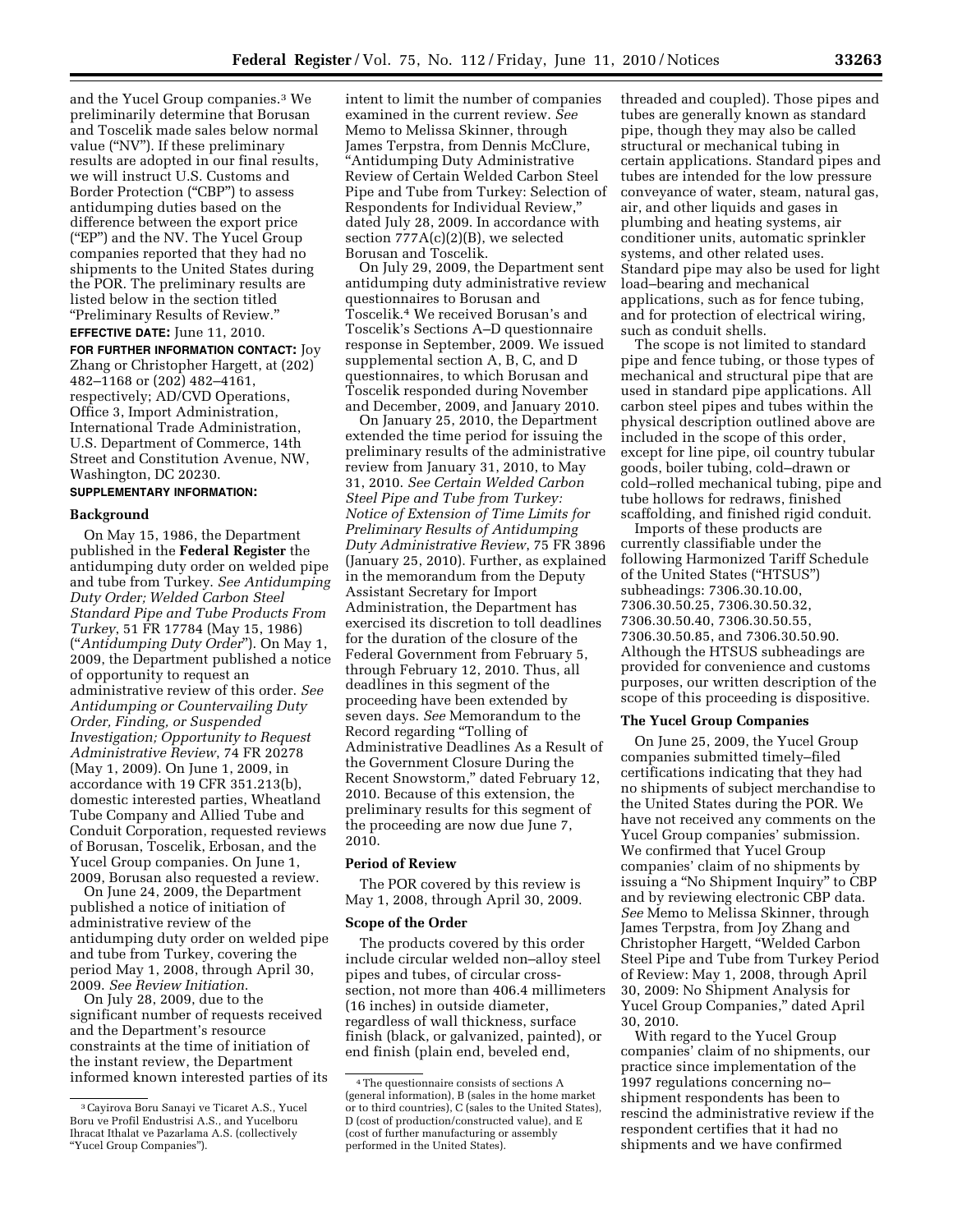and the Yucel Group companies.3 We preliminarily determine that Borusan and Toscelik made sales below normal value ("NV"). If these preliminary results are adopted in our final results, we will instruct U.S. Customs and Border Protection (''CBP'') to assess antidumping duties based on the difference between the export price (''EP'') and the NV. The Yucel Group companies reported that they had no shipments to the United States during the POR. The preliminary results are listed below in the section titled ''Preliminary Results of Review.''

#### **EFFECTIVE DATE:** June 11, 2010.

**FOR FURTHER INFORMATION CONTACT:** Joy Zhang or Christopher Hargett, at (202) 482–1168 or (202) 482–4161, respectively; AD/CVD Operations, Office 3, Import Administration, International Trade Administration, U.S. Department of Commerce, 14th Street and Constitution Avenue, NW, Washington, DC 20230.

## **SUPPLEMENTARY INFORMATION:**

#### **Background**

On May 15, 1986, the Department published in the **Federal Register** the antidumping duty order on welded pipe and tube from Turkey. *See Antidumping Duty Order; Welded Carbon Steel Standard Pipe and Tube Products From Turkey*, 51 FR 17784 (May 15, 1986) (''*Antidumping Duty Order*''). On May 1, 2009, the Department published a notice of opportunity to request an administrative review of this order. *See Antidumping or Countervailing Duty Order, Finding, or Suspended Investigation; Opportunity to Request Administrative Review*, 74 FR 20278 (May 1, 2009). On June 1, 2009, in accordance with 19 CFR 351.213(b), domestic interested parties, Wheatland Tube Company and Allied Tube and Conduit Corporation, requested reviews of Borusan, Toscelik, Erbosan, and the Yucel Group companies. On June 1, 2009, Borusan also requested a review.

On June 24, 2009, the Department published a notice of initiation of administrative review of the antidumping duty order on welded pipe and tube from Turkey, covering the period May 1, 2008, through April 30, 2009. *See Review Initiation*.

On July 28, 2009, due to the significant number of requests received and the Department's resource constraints at the time of initiation of the instant review, the Department informed known interested parties of its intent to limit the number of companies examined in the current review. *See*  Memo to Melissa Skinner, through James Terpstra, from Dennis McClure, ''Antidumping Duty Administrative Review of Certain Welded Carbon Steel Pipe and Tube from Turkey: Selection of Respondents for Individual Review,'' dated July 28, 2009. In accordance with section 777A(c)(2)(B), we selected Borusan and Toscelik.

On July 29, 2009, the Department sent antidumping duty administrative review questionnaires to Borusan and Toscelik.4 We received Borusan's and Toscelik's Sections A–D questionnaire response in September, 2009. We issued supplemental section A, B, C, and D questionnaires, to which Borusan and Toscelik responded during November and December, 2009, and January 2010.

On January 25, 2010, the Department extended the time period for issuing the preliminary results of the administrative review from January 31, 2010, to May 31, 2010. *See Certain Welded Carbon Steel Pipe and Tube from Turkey: Notice of Extension of Time Limits for Preliminary Results of Antidumping Duty Administrative Review*, 75 FR 3896 (January 25, 2010). Further, as explained in the memorandum from the Deputy Assistant Secretary for Import Administration, the Department has exercised its discretion to toll deadlines for the duration of the closure of the Federal Government from February 5, through February 12, 2010. Thus, all deadlines in this segment of the proceeding have been extended by seven days. *See* Memorandum to the Record regarding ''Tolling of Administrative Deadlines As a Result of the Government Closure During the Recent Snowstorm,'' dated February 12, 2010. Because of this extension, the preliminary results for this segment of the proceeding are now due June 7, 2010.

#### **Period of Review**

The POR covered by this review is May 1, 2008, through April 30, 2009.

#### **Scope of the Order**

The products covered by this order include circular welded non–alloy steel pipes and tubes, of circular crosssection, not more than 406.4 millimeters (16 inches) in outside diameter, regardless of wall thickness, surface finish (black, or galvanized, painted), or end finish (plain end, beveled end,

threaded and coupled). Those pipes and tubes are generally known as standard pipe, though they may also be called structural or mechanical tubing in certain applications. Standard pipes and tubes are intended for the low pressure conveyance of water, steam, natural gas, air, and other liquids and gases in plumbing and heating systems, air conditioner units, automatic sprinkler systems, and other related uses. Standard pipe may also be used for light load–bearing and mechanical applications, such as for fence tubing, and for protection of electrical wiring, such as conduit shells.

The scope is not limited to standard pipe and fence tubing, or those types of mechanical and structural pipe that are used in standard pipe applications. All carbon steel pipes and tubes within the physical description outlined above are included in the scope of this order, except for line pipe, oil country tubular goods, boiler tubing, cold–drawn or cold–rolled mechanical tubing, pipe and tube hollows for redraws, finished scaffolding, and finished rigid conduit.

Imports of these products are currently classifiable under the following Harmonized Tariff Schedule of the United States (''HTSUS'') subheadings: 7306.30.10.00, 7306.30.50.25, 7306.30.50.32, 7306.30.50.40, 7306.30.50.55, 7306.30.50.85, and 7306.30.50.90. Although the HTSUS subheadings are provided for convenience and customs purposes, our written description of the scope of this proceeding is dispositive.

#### **The Yucel Group Companies**

On June 25, 2009, the Yucel Group companies submitted timely–filed certifications indicating that they had no shipments of subject merchandise to the United States during the POR. We have not received any comments on the Yucel Group companies' submission. We confirmed that Yucel Group companies' claim of no shipments by issuing a ''No Shipment Inquiry'' to CBP and by reviewing electronic CBP data. *See* Memo to Melissa Skinner, through James Terpstra, from Joy Zhang and Christopher Hargett, ''Welded Carbon Steel Pipe and Tube from Turkey Period of Review: May 1, 2008, through April 30, 2009: No Shipment Analysis for Yucel Group Companies,'' dated April 30, 2010.

With regard to the Yucel Group companies' claim of no shipments, our practice since implementation of the 1997 regulations concerning no– shipment respondents has been to rescind the administrative review if the respondent certifies that it had no shipments and we have confirmed

<sup>3</sup>Cayirova Boru Sanayi ve Ticaret A.S., Yucel Boru ve Profil Endustrisi A.S., and Yucelboru Ihracat Ithalat ve Pazarlama A.S. (collectively ''Yucel Group Companies'').

<sup>4</sup>The questionnaire consists of sections A (general information), B (sales in the home market or to third countries), C (sales to the United States), D (cost of production/constructed value), and E (cost of further manufacturing or assembly performed in the United States).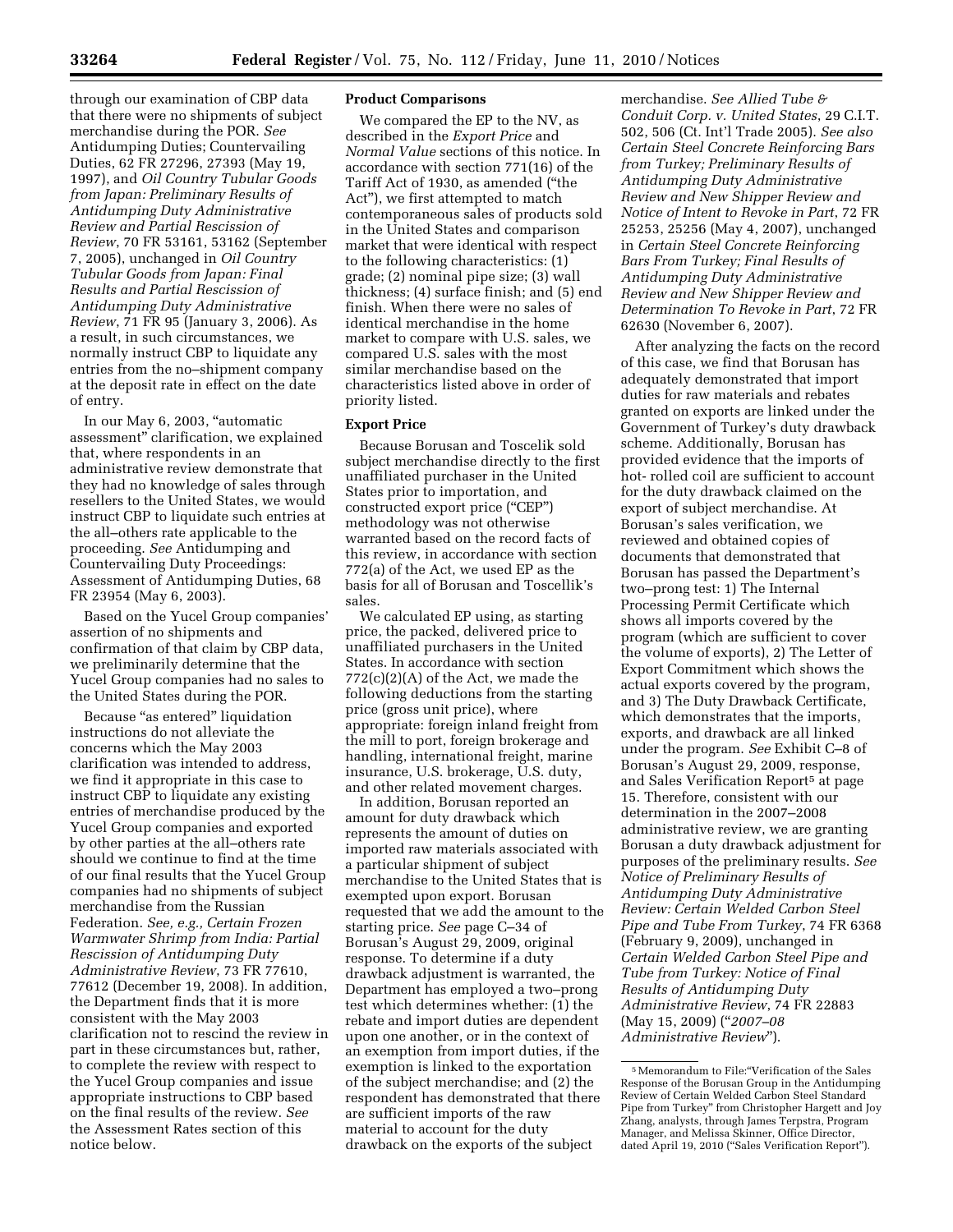through our examination of CBP data that there were no shipments of subject merchandise during the POR. *See*  Antidumping Duties; Countervailing Duties, 62 FR 27296, 27393 (May 19, 1997), and *Oil Country Tubular Goods from Japan: Preliminary Results of Antidumping Duty Administrative Review and Partial Rescission of Review*, 70 FR 53161, 53162 (September 7, 2005), unchanged in *Oil Country Tubular Goods from Japan: Final Results and Partial Rescission of Antidumping Duty Administrative Review*, 71 FR 95 (January 3, 2006). As a result, in such circumstances, we normally instruct CBP to liquidate any entries from the no–shipment company at the deposit rate in effect on the date of entry.

In our May 6, 2003, ''automatic assessment'' clarification, we explained that, where respondents in an administrative review demonstrate that they had no knowledge of sales through resellers to the United States, we would instruct CBP to liquidate such entries at the all–others rate applicable to the proceeding. *See* Antidumping and Countervailing Duty Proceedings: Assessment of Antidumping Duties, 68 FR 23954 (May 6, 2003).

Based on the Yucel Group companies' assertion of no shipments and confirmation of that claim by CBP data, we preliminarily determine that the Yucel Group companies had no sales to the United States during the POR.

Because "as entered" liquidation instructions do not alleviate the concerns which the May 2003 clarification was intended to address, we find it appropriate in this case to instruct CBP to liquidate any existing entries of merchandise produced by the Yucel Group companies and exported by other parties at the all–others rate should we continue to find at the time of our final results that the Yucel Group companies had no shipments of subject merchandise from the Russian Federation. *See, e.g., Certain Frozen Warmwater Shrimp from India: Partial Rescission of Antidumping Duty Administrative Review*, 73 FR 77610, 77612 (December 19, 2008). In addition, the Department finds that it is more consistent with the May 2003 clarification not to rescind the review in part in these circumstances but, rather, to complete the review with respect to the Yucel Group companies and issue appropriate instructions to CBP based on the final results of the review. *See*  the Assessment Rates section of this notice below.

#### **Product Comparisons**

We compared the EP to the NV, as described in the *Export Price* and *Normal Value* sections of this notice. In accordance with section 771(16) of the Tariff Act of 1930, as amended (''the Act''), we first attempted to match contemporaneous sales of products sold in the United States and comparison market that were identical with respect to the following characteristics: (1) grade; (2) nominal pipe size; (3) wall thickness; (4) surface finish; and (5) end finish. When there were no sales of identical merchandise in the home market to compare with U.S. sales, we compared U.S. sales with the most similar merchandise based on the characteristics listed above in order of priority listed.

#### **Export Price**

Because Borusan and Toscelik sold subject merchandise directly to the first unaffiliated purchaser in the United States prior to importation, and constructed export price ("CEP") methodology was not otherwise warranted based on the record facts of this review, in accordance with section 772(a) of the Act, we used EP as the basis for all of Borusan and Toscellik's sales.

We calculated EP using, as starting price, the packed, delivered price to unaffiliated purchasers in the United States. In accordance with section 772(c)(2)(A) of the Act, we made the following deductions from the starting price (gross unit price), where appropriate: foreign inland freight from the mill to port, foreign brokerage and handling, international freight, marine insurance, U.S. brokerage, U.S. duty, and other related movement charges.

In addition, Borusan reported an amount for duty drawback which represents the amount of duties on imported raw materials associated with a particular shipment of subject merchandise to the United States that is exempted upon export. Borusan requested that we add the amount to the starting price. *See* page C–34 of Borusan's August 29, 2009, original response. To determine if a duty drawback adjustment is warranted, the Department has employed a two–prong test which determines whether: (1) the rebate and import duties are dependent upon one another, or in the context of an exemption from import duties, if the exemption is linked to the exportation of the subject merchandise; and (2) the respondent has demonstrated that there are sufficient imports of the raw material to account for the duty drawback on the exports of the subject

merchandise. *See Allied Tube & Conduit Corp. v. United States*, 29 C.I.T. 502, 506 (Ct. Int'l Trade 2005). *See also Certain Steel Concrete Reinforcing Bars from Turkey; Preliminary Results of Antidumping Duty Administrative Review and New Shipper Review and Notice of Intent to Revoke in Part*, 72 FR 25253, 25256 (May 4, 2007), unchanged in *Certain Steel Concrete Reinforcing Bars From Turkey; Final Results of Antidumping Duty Administrative Review and New Shipper Review and Determination To Revoke in Part*, 72 FR 62630 (November 6, 2007).

After analyzing the facts on the record of this case, we find that Borusan has adequately demonstrated that import duties for raw materials and rebates granted on exports are linked under the Government of Turkey's duty drawback scheme. Additionally, Borusan has provided evidence that the imports of hot- rolled coil are sufficient to account for the duty drawback claimed on the export of subject merchandise. At Borusan's sales verification, we reviewed and obtained copies of documents that demonstrated that Borusan has passed the Department's two–prong test: 1) The Internal Processing Permit Certificate which shows all imports covered by the program (which are sufficient to cover the volume of exports), 2) The Letter of Export Commitment which shows the actual exports covered by the program, and 3) The Duty Drawback Certificate, which demonstrates that the imports, exports, and drawback are all linked under the program. *See* Exhibit C–8 of Borusan's August 29, 2009, response, and Sales Verification Report<sup>5</sup> at page 15. Therefore, consistent with our determination in the 2007–2008 administrative review, we are granting Borusan a duty drawback adjustment for purposes of the preliminary results. *See Notice of Preliminary Results of Antidumping Duty Administrative Review: Certain Welded Carbon Steel Pipe and Tube From Turkey*, 74 FR 6368 (February 9, 2009), unchanged in *Certain Welded Carbon Steel Pipe and Tube from Turkey: Notice of Final Results of Antidumping Duty Administrative Review*, 74 FR 22883 (May 15, 2009) (''*2007–08 Administrative Review*'').

<sup>5</sup>Memorandum to File:''Verification of the Sales Response of the Borusan Group in the Antidumping Review of Certain Welded Carbon Steel Standard Pipe from Turkey'' from Christopher Hargett and Joy Zhang, analysts, through James Terpstra, Program Manager, and Melissa Skinner, Office Director, dated April 19, 2010 ("Sales Verification Report").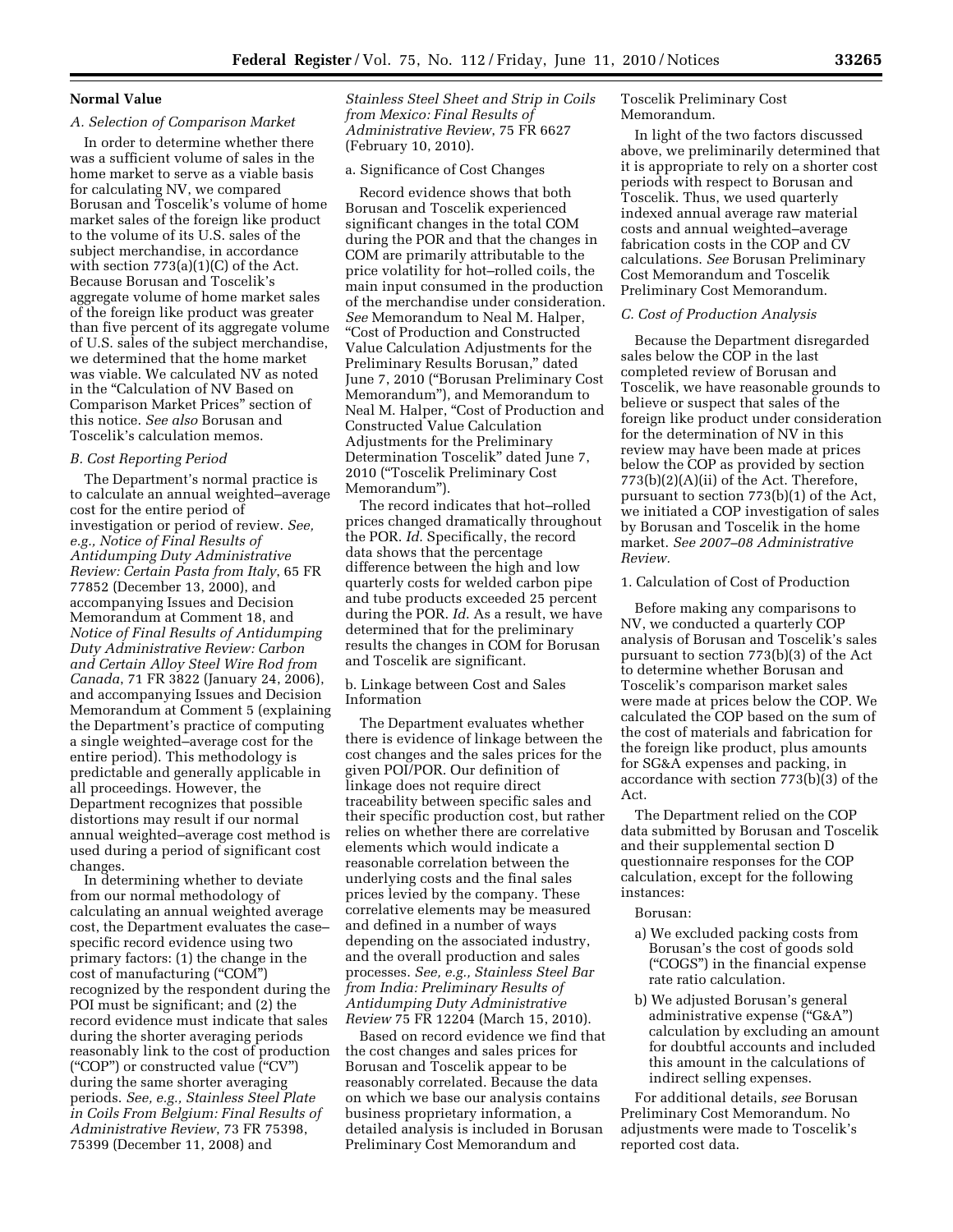#### **Normal Value**

### *A. Selection of Comparison Market*

In order to determine whether there was a sufficient volume of sales in the home market to serve as a viable basis for calculating NV, we compared Borusan and Toscelik's volume of home market sales of the foreign like product to the volume of its U.S. sales of the subject merchandise, in accordance with section  $773(a)(1)(C)$  of the Act. Because Borusan and Toscelik's aggregate volume of home market sales of the foreign like product was greater than five percent of its aggregate volume of U.S. sales of the subject merchandise, we determined that the home market was viable. We calculated NV as noted in the "Calculation of NV Based on Comparison Market Prices'' section of this notice. *See also* Borusan and Toscelik's calculation memos.

## *B. Cost Reporting Period*

The Department's normal practice is to calculate an annual weighted–average cost for the entire period of investigation or period of review. *See, e.g., Notice of Final Results of Antidumping Duty Administrative Review: Certain Pasta from Italy*, 65 FR 77852 (December 13, 2000), and accompanying Issues and Decision Memorandum at Comment 18, and *Notice of Final Results of Antidumping Duty Administrative Review: Carbon and Certain Alloy Steel Wire Rod from Canada*, 71 FR 3822 (January 24, 2006), and accompanying Issues and Decision Memorandum at Comment 5 (explaining the Department's practice of computing a single weighted–average cost for the entire period). This methodology is predictable and generally applicable in all proceedings. However, the Department recognizes that possible distortions may result if our normal annual weighted–average cost method is used during a period of significant cost changes.

In determining whether to deviate from our normal methodology of calculating an annual weighted average cost, the Department evaluates the case– specific record evidence using two primary factors: (1) the change in the cost of manufacturing ("COM") recognized by the respondent during the POI must be significant; and (2) the record evidence must indicate that sales during the shorter averaging periods reasonably link to the cost of production (''COP'') or constructed value (''CV'') during the same shorter averaging periods. *See, e.g., Stainless Steel Plate in Coils From Belgium: Final Results of Administrative Review*, 73 FR 75398, 75399 (December 11, 2008) and

*Stainless Steel Sheet and Strip in Coils from Mexico: Final Results of Administrative Review*, 75 FR 6627 (February 10, 2010).

## a. Significance of Cost Changes

Record evidence shows that both Borusan and Toscelik experienced significant changes in the total COM during the POR and that the changes in COM are primarily attributable to the price volatility for hot–rolled coils, the main input consumed in the production of the merchandise under consideration. *See* Memorandum to Neal M. Halper, ''Cost of Production and Constructed Value Calculation Adjustments for the Preliminary Results Borusan,'' dated June 7, 2010 (''Borusan Preliminary Cost Memorandum''), and Memorandum to Neal M. Halper, "Cost of Production and Constructed Value Calculation Adjustments for the Preliminary Determination Toscelik'' dated June 7, 2010 (''Toscelik Preliminary Cost Memorandum'').

The record indicates that hot–rolled prices changed dramatically throughout the POR. *Id*. Specifically, the record data shows that the percentage difference between the high and low quarterly costs for welded carbon pipe and tube products exceeded 25 percent during the POR. *Id*. As a result, we have determined that for the preliminary results the changes in COM for Borusan and Toscelik are significant.

### b. Linkage between Cost and Sales Information

The Department evaluates whether there is evidence of linkage between the cost changes and the sales prices for the given POI/POR. Our definition of linkage does not require direct traceability between specific sales and their specific production cost, but rather relies on whether there are correlative elements which would indicate a reasonable correlation between the underlying costs and the final sales prices levied by the company. These correlative elements may be measured and defined in a number of ways depending on the associated industry, and the overall production and sales processes. *See, e.g., Stainless Steel Bar from India: Preliminary Results of Antidumping Duty Administrative Review* 75 FR 12204 (March 15, 2010).

Based on record evidence we find that the cost changes and sales prices for Borusan and Toscelik appear to be reasonably correlated. Because the data on which we base our analysis contains business proprietary information, a detailed analysis is included in Borusan Preliminary Cost Memorandum and

Toscelik Preliminary Cost Memorandum.

In light of the two factors discussed above, we preliminarily determined that it is appropriate to rely on a shorter cost periods with respect to Borusan and Toscelik. Thus, we used quarterly indexed annual average raw material costs and annual weighted–average fabrication costs in the COP and CV calculations. *See* Borusan Preliminary Cost Memorandum and Toscelik Preliminary Cost Memorandum.

### *C. Cost of Production Analysis*

Because the Department disregarded sales below the COP in the last completed review of Borusan and Toscelik, we have reasonable grounds to believe or suspect that sales of the foreign like product under consideration for the determination of NV in this review may have been made at prices below the COP as provided by section 773(b)(2)(A)(ii) of the Act. Therefore, pursuant to section 773(b)(1) of the Act, we initiated a COP investigation of sales by Borusan and Toscelik in the home market. *See 2007–08 Administrative Review.* 

#### 1. Calculation of Cost of Production

Before making any comparisons to NV, we conducted a quarterly COP analysis of Borusan and Toscelik's sales pursuant to section 773(b)(3) of the Act to determine whether Borusan and Toscelik's comparison market sales were made at prices below the COP. We calculated the COP based on the sum of the cost of materials and fabrication for the foreign like product, plus amounts for SG&A expenses and packing, in accordance with section 773(b)(3) of the Act.

The Department relied on the COP data submitted by Borusan and Toscelik and their supplemental section D questionnaire responses for the COP calculation, except for the following instances:

#### Borusan:

- a) We excluded packing costs from Borusan's the cost of goods sold (''COGS'') in the financial expense rate ratio calculation.
- b) We adjusted Borusan's general administrative expense ("G&A") calculation by excluding an amount for doubtful accounts and included this amount in the calculations of indirect selling expenses.

For additional details, *see* Borusan Preliminary Cost Memorandum. No adjustments were made to Toscelik's reported cost data.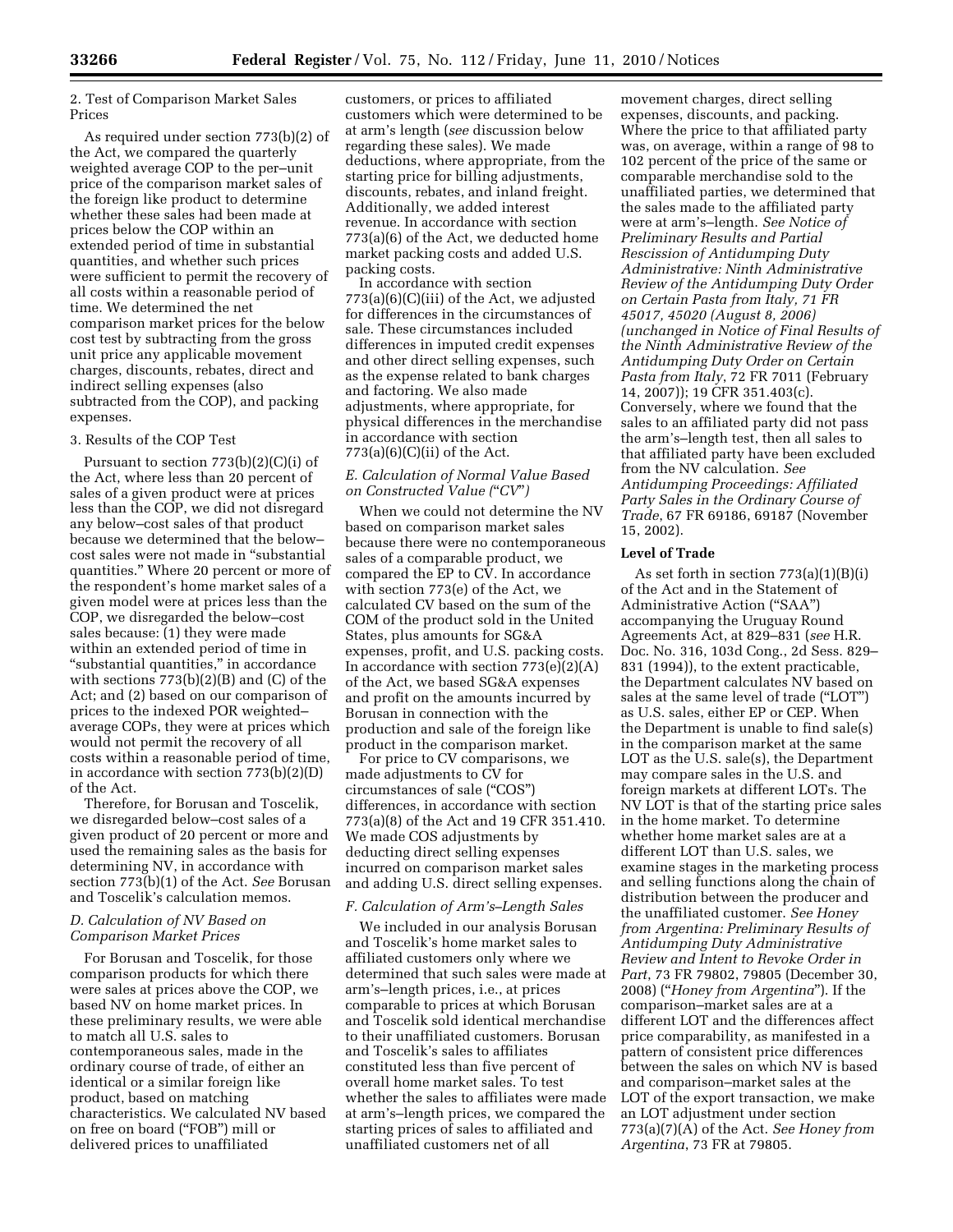2. Test of Comparison Market Sales Prices

As required under section 773(b)(2) of the Act, we compared the quarterly weighted average COP to the per–unit price of the comparison market sales of the foreign like product to determine whether these sales had been made at prices below the COP within an extended period of time in substantial quantities, and whether such prices were sufficient to permit the recovery of all costs within a reasonable period of time. We determined the net comparison market prices for the below cost test by subtracting from the gross unit price any applicable movement charges, discounts, rebates, direct and indirect selling expenses (also subtracted from the COP), and packing expenses.

#### 3. Results of the COP Test

Pursuant to section  $773(b)(2)(C)(i)$  of the Act, where less than 20 percent of sales of a given product were at prices less than the COP, we did not disregard any below–cost sales of that product because we determined that the below– cost sales were not made in ''substantial quantities.'' Where 20 percent or more of the respondent's home market sales of a given model were at prices less than the COP, we disregarded the below–cost sales because: (1) they were made within an extended period of time in "substantial quantities," in accordance with sections 773(b)(2)(B) and (C) of the Act; and (2) based on our comparison of prices to the indexed POR weighted– average COPs, they were at prices which would not permit the recovery of all costs within a reasonable period of time, in accordance with section 773(b)(2)(D) of the Act.

Therefore, for Borusan and Toscelik, we disregarded below–cost sales of a given product of 20 percent or more and used the remaining sales as the basis for determining NV, in accordance with section 773(b)(1) of the Act. *See* Borusan and Toscelik's calculation memos.

## *D. Calculation of NV Based on Comparison Market Prices*

For Borusan and Toscelik, for those comparison products for which there were sales at prices above the COP, we based NV on home market prices. In these preliminary results, we were able to match all U.S. sales to contemporaneous sales, made in the ordinary course of trade, of either an identical or a similar foreign like product, based on matching characteristics. We calculated NV based on free on board (''FOB'') mill or delivered prices to unaffiliated

customers, or prices to affiliated customers which were determined to be at arm's length (*see* discussion below regarding these sales). We made deductions, where appropriate, from the starting price for billing adjustments, discounts, rebates, and inland freight. Additionally, we added interest revenue. In accordance with section 773(a)(6) of the Act, we deducted home market packing costs and added U.S. packing costs.

In accordance with section  $773(a)(6)(C)(iii)$  of the Act, we adjusted for differences in the circumstances of sale. These circumstances included differences in imputed credit expenses and other direct selling expenses, such as the expense related to bank charges and factoring. We also made adjustments, where appropriate, for physical differences in the merchandise in accordance with section  $773(a)(6)(C)(ii)$  of the Act.

#### *E. Calculation of Normal Value Based on Constructed Value (*''*CV*''*)*

When we could not determine the NV based on comparison market sales because there were no contemporaneous sales of a comparable product, we compared the EP to CV. In accordance with section 773(e) of the Act, we calculated CV based on the sum of the COM of the product sold in the United States, plus amounts for SG&A expenses, profit, and U.S. packing costs. In accordance with section  $773(e)(2)(A)$ of the Act, we based SG&A expenses and profit on the amounts incurred by Borusan in connection with the production and sale of the foreign like product in the comparison market.

For price to CV comparisons, we made adjustments to CV for circumstances of sale (''COS'') differences, in accordance with section 773(a)(8) of the Act and 19 CFR 351.410. We made COS adjustments by deducting direct selling expenses incurred on comparison market sales and adding U.S. direct selling expenses.

## *F. Calculation of Arm's–Length Sales*

We included in our analysis Borusan and Toscelik's home market sales to affiliated customers only where we determined that such sales were made at arm's–length prices, i.e., at prices comparable to prices at which Borusan and Toscelik sold identical merchandise to their unaffiliated customers. Borusan and Toscelik's sales to affiliates constituted less than five percent of overall home market sales. To test whether the sales to affiliates were made at arm's–length prices, we compared the starting prices of sales to affiliated and unaffiliated customers net of all

movement charges, direct selling expenses, discounts, and packing. Where the price to that affiliated party was, on average, within a range of 98 to 102 percent of the price of the same or comparable merchandise sold to the unaffiliated parties, we determined that the sales made to the affiliated party were at arm's–length. *See Notice of Preliminary Results and Partial Rescission of Antidumping Duty Administrative: Ninth Administrative Review of the Antidumping Duty Order on Certain Pasta from Italy, 71 FR 45017, 45020 (August 8, 2006) (unchanged in Notice of Final Results of the Ninth Administrative Review of the Antidumping Duty Order on Certain Pasta from Italy*, 72 FR 7011 (February 14, 2007)); 19 CFR 351.403(c). Conversely, where we found that the sales to an affiliated party did not pass the arm's–length test, then all sales to that affiliated party have been excluded from the NV calculation. *See Antidumping Proceedings: Affiliated Party Sales in the Ordinary Course of Trade*, 67 FR 69186, 69187 (November 15, 2002).

## **Level of Trade**

As set forth in section 773(a)(1)(B)(i) of the Act and in the Statement of Administrative Action ("SAA") accompanying the Uruguay Round Agreements Act, at 829–831 (*see* H.R. Doc. No. 316, 103d Cong., 2d Sess. 829– 831 (1994)), to the extent practicable, the Department calculates NV based on sales at the same level of trade ("LOT") as U.S. sales, either EP or CEP. When the Department is unable to find sale(s) in the comparison market at the same LOT as the U.S. sale(s), the Department may compare sales in the U.S. and foreign markets at different LOTs. The NV LOT is that of the starting price sales in the home market. To determine whether home market sales are at a different LOT than U.S. sales, we examine stages in the marketing process and selling functions along the chain of distribution between the producer and the unaffiliated customer. *See Honey from Argentina: Preliminary Results of Antidumping Duty Administrative Review and Intent to Revoke Order in Part*, 73 FR 79802, 79805 (December 30, 2008) (''*Honey from Argentina*''). If the comparison–market sales are at a different LOT and the differences affect price comparability, as manifested in a pattern of consistent price differences between the sales on which NV is based and comparison–market sales at the LOT of the export transaction, we make an LOT adjustment under section 773(a)(7)(A) of the Act. *See Honey from Argentina*, 73 FR at 79805.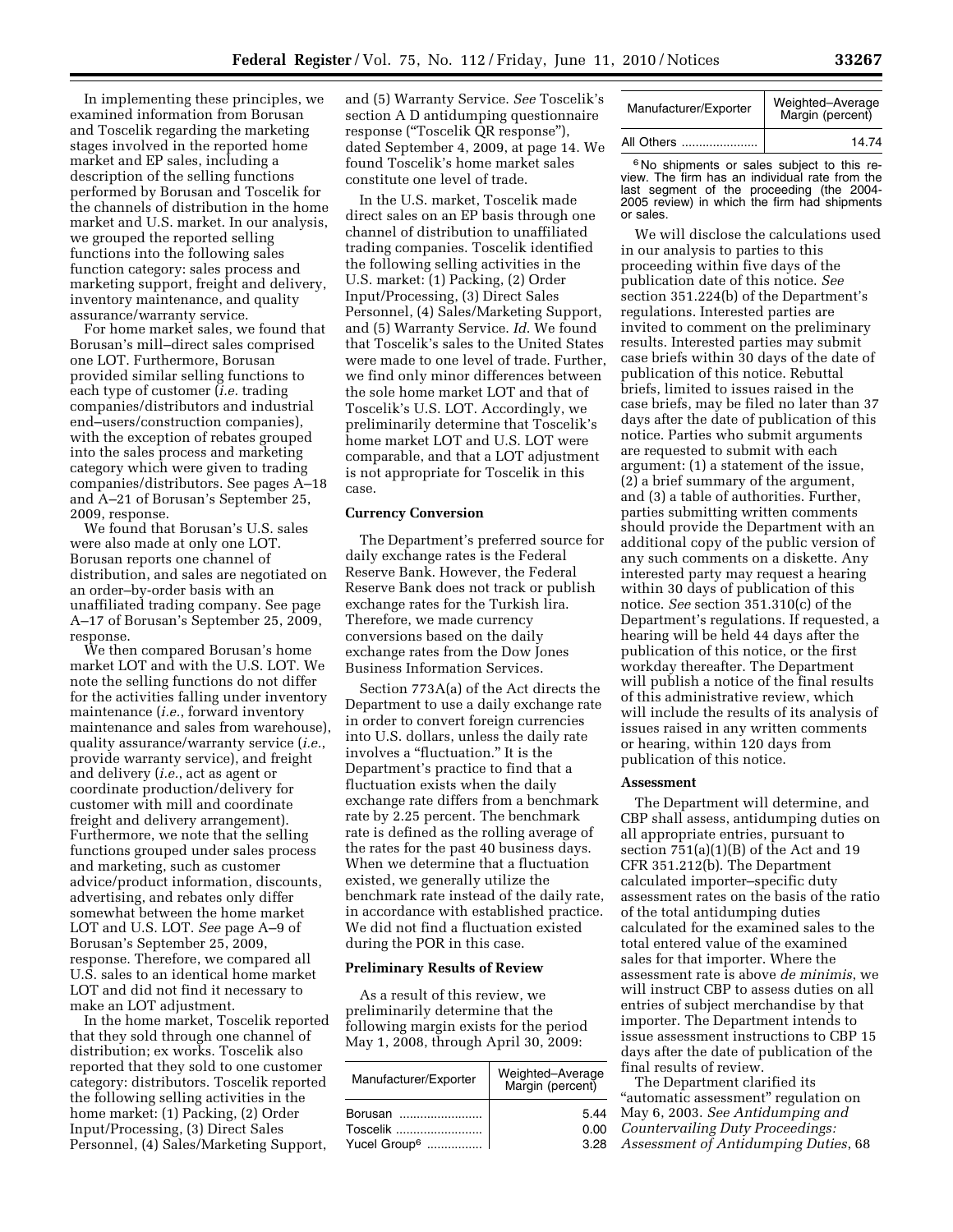In implementing these principles, we examined information from Borusan and Toscelik regarding the marketing stages involved in the reported home market and EP sales, including a description of the selling functions performed by Borusan and Toscelik for the channels of distribution in the home market and U.S. market. In our analysis, we grouped the reported selling functions into the following sales function category: sales process and marketing support, freight and delivery, inventory maintenance, and quality assurance/warranty service.

For home market sales, we found that Borusan's mill–direct sales comprised one LOT. Furthermore, Borusan provided similar selling functions to each type of customer (*i.e.* trading companies/distributors and industrial end–users/construction companies), with the exception of rebates grouped into the sales process and marketing category which were given to trading companies/distributors. See pages A–18 and A–21 of Borusan's September 25, 2009, response.

We found that Borusan's U.S. sales were also made at only one LOT. Borusan reports one channel of distribution, and sales are negotiated on an order–by-order basis with an unaffiliated trading company. See page A–17 of Borusan's September 25, 2009, response.

We then compared Borusan's home market LOT and with the U.S. LOT. We note the selling functions do not differ for the activities falling under inventory maintenance (*i.e.*, forward inventory maintenance and sales from warehouse), quality assurance/warranty service (*i.e.*, provide warranty service), and freight and delivery (*i.e.*, act as agent or coordinate production/delivery for customer with mill and coordinate freight and delivery arrangement). Furthermore, we note that the selling functions grouped under sales process and marketing, such as customer advice/product information, discounts, advertising, and rebates only differ somewhat between the home market LOT and U.S. LOT. *See* page A–9 of Borusan's September 25, 2009, response. Therefore, we compared all U.S. sales to an identical home market LOT and did not find it necessary to make an LOT adjustment.

In the home market, Toscelik reported that they sold through one channel of distribution; ex works. Toscelik also reported that they sold to one customer category: distributors. Toscelik reported the following selling activities in the home market: (1) Packing, (2) Order Input/Processing, (3) Direct Sales Personnel, (4) Sales/Marketing Support,

and (5) Warranty Service. *See* Toscelik's section A D antidumping questionnaire response (''Toscelik QR response''), dated September 4, 2009, at page 14. We found Toscelik's home market sales constitute one level of trade.

In the U.S. market, Toscelik made direct sales on an EP basis through one channel of distribution to unaffiliated trading companies. Toscelik identified the following selling activities in the U.S. market: (1) Packing, (2) Order Input/Processing, (3) Direct Sales Personnel, (4) Sales/Marketing Support, and (5) Warranty Service. *Id*. We found that Toscelik's sales to the United States were made to one level of trade. Further, we find only minor differences between the sole home market LOT and that of Toscelik's U.S. LOT. Accordingly, we preliminarily determine that Toscelik's home market LOT and U.S. LOT were comparable, and that a LOT adjustment is not appropriate for Toscelik in this case.

#### **Currency Conversion**

The Department's preferred source for daily exchange rates is the Federal Reserve Bank. However, the Federal Reserve Bank does not track or publish exchange rates for the Turkish lira. Therefore, we made currency conversions based on the daily exchange rates from the Dow Jones Business Information Services.

Section 773A(a) of the Act directs the Department to use a daily exchange rate in order to convert foreign currencies into U.S. dollars, unless the daily rate involves a "fluctuation." It is the Department's practice to find that a fluctuation exists when the daily exchange rate differs from a benchmark rate by 2.25 percent. The benchmark rate is defined as the rolling average of the rates for the past 40 business days. When we determine that a fluctuation existed, we generally utilize the benchmark rate instead of the daily rate, in accordance with established practice. We did not find a fluctuation existed during the POR in this case.

#### **Preliminary Results of Review**

As a result of this review, we preliminarily determine that the following margin exists for the period May 1, 2008, through April 30, 2009:

| Manufacturer/Exporter    | Weighted-Average<br>Margin (percent) |
|--------------------------|--------------------------------------|
| Borusan                  | 5.44                                 |
| Toscelik                 | 0.00                                 |
| Yucel Group <sup>6</sup> | 3.28                                 |

| Manufacturer/Exporter | Weighted-Average<br>Margin (percent) |
|-----------------------|--------------------------------------|
| All Others            | 14.74                                |

6 No shipments or sales subject to this review. The firm has an individual rate from the last segment of the proceeding (the 2004- 2005 review) in which the firm had shipments or sales.

We will disclose the calculations used in our analysis to parties to this proceeding within five days of the publication date of this notice. *See*  section 351.224(b) of the Department's regulations. Interested parties are invited to comment on the preliminary results. Interested parties may submit case briefs within 30 days of the date of publication of this notice. Rebuttal briefs, limited to issues raised in the case briefs, may be filed no later than 37 days after the date of publication of this notice. Parties who submit arguments are requested to submit with each argument: (1) a statement of the issue, (2) a brief summary of the argument, and (3) a table of authorities. Further, parties submitting written comments should provide the Department with an additional copy of the public version of any such comments on a diskette. Any interested party may request a hearing within 30 days of publication of this notice. *See* section 351.310(c) of the Department's regulations. If requested, a hearing will be held 44 days after the publication of this notice, or the first workday thereafter. The Department will publish a notice of the final results of this administrative review, which will include the results of its analysis of issues raised in any written comments or hearing, within 120 days from publication of this notice.

#### **Assessment**

The Department will determine, and CBP shall assess, antidumping duties on all appropriate entries, pursuant to section  $751(a)(1)(B)$  of the Act and 19 CFR 351.212(b). The Department calculated importer–specific duty assessment rates on the basis of the ratio of the total antidumping duties calculated for the examined sales to the total entered value of the examined sales for that importer. Where the assessment rate is above *de minimis*, we will instruct CBP to assess duties on all entries of subject merchandise by that importer. The Department intends to issue assessment instructions to CBP 15 days after the date of publication of the final results of review.

The Department clarified its "automatic assessment" regulation on May 6, 2003. *See Antidumping and Countervailing Duty Proceedings: Assessment of Antidumping Duties*, 68